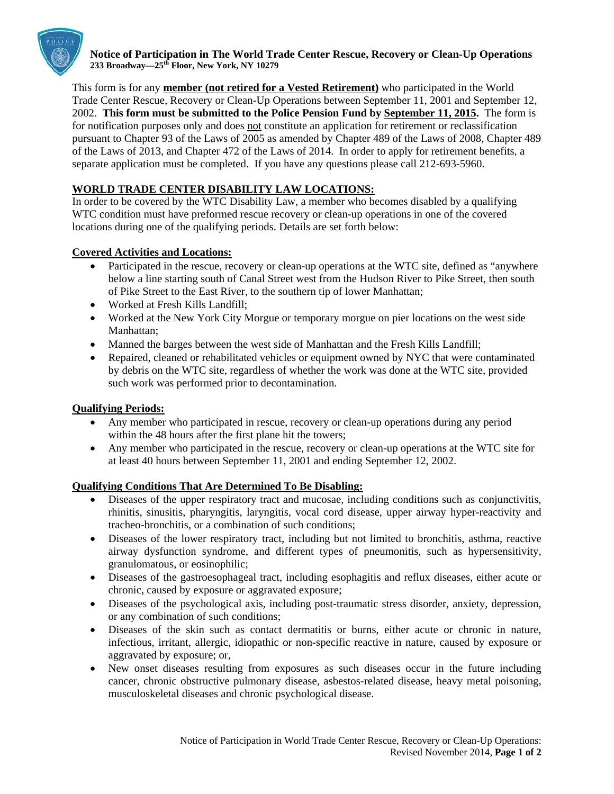

**Notice of Participation in The World Trade Center Rescue, Recovery or Clean-Up Operations 233 Broadway—25th Floor, New York, NY 10279** 

This form is for any **member (not retired for a Vested Retirement)** who participated in the World Trade Center Rescue, Recovery or Clean-Up Operations between September 11, 2001 and September 12, 2002. **This form must be submitted to the Police Pension Fund by September 11, 2015.** The form is for notification purposes only and does not constitute an application for retirement or reclassification pursuant to Chapter 93 of the Laws of 2005 as amended by Chapter 489 of the Laws of 2008, Chapter 489 of the Laws of 2013, and Chapter 472 of the Laws of 2014. In order to apply for retirement benefits, a separate application must be completed. If you have any questions please call 212-693-5960.

## **WORLD TRADE CENTER DISABILITY LAW LOCATIONS:**

In order to be covered by the WTC Disability Law, a member who becomes disabled by a qualifying WTC condition must have preformed rescue recovery or clean-up operations in one of the covered locations during one of the qualifying periods. Details are set forth below:

## **Covered Activities and Locations:**

- Participated in the rescue, recovery or clean-up operations at the WTC site, defined as "anywhere below a line starting south of Canal Street west from the Hudson River to Pike Street, then south of Pike Street to the East River, to the southern tip of lower Manhattan;
- Worked at Fresh Kills Landfill:
- Worked at the New York City Morgue or temporary morgue on pier locations on the west side Manhattan;
- Manned the barges between the west side of Manhattan and the Fresh Kills Landfill;
- Repaired, cleaned or rehabilitated vehicles or equipment owned by NYC that were contaminated by debris on the WTC site, regardless of whether the work was done at the WTC site, provided such work was performed prior to decontamination.

## **Qualifying Periods:**

- Any member who participated in rescue, recovery or clean-up operations during any period within the 48 hours after the first plane hit the towers;
- Any member who participated in the rescue, recovery or clean-up operations at the WTC site for at least 40 hours between September 11, 2001 and ending September 12, 2002.

## **Qualifying Conditions That Are Determined To Be Disabling:**

- Diseases of the upper respiratory tract and mucosae, including conditions such as conjunctivitis, rhinitis, sinusitis, pharyngitis, laryngitis, vocal cord disease, upper airway hyper-reactivity and tracheo-bronchitis, or a combination of such conditions;
- Diseases of the lower respiratory tract, including but not limited to bronchitis, asthma, reactive airway dysfunction syndrome, and different types of pneumonitis, such as hypersensitivity, granulomatous, or eosinophilic;
- Diseases of the gastroesophageal tract, including esophagitis and reflux diseases, either acute or chronic, caused by exposure or aggravated exposure;
- Diseases of the psychological axis, including post-traumatic stress disorder, anxiety, depression, or any combination of such conditions;
- Diseases of the skin such as contact dermatitis or burns, either acute or chronic in nature, infectious, irritant, allergic, idiopathic or non-specific reactive in nature, caused by exposure or aggravated by exposure; or,
- New onset diseases resulting from exposures as such diseases occur in the future including cancer, chronic obstructive pulmonary disease, asbestos-related disease, heavy metal poisoning, musculoskeletal diseases and chronic psychological disease.